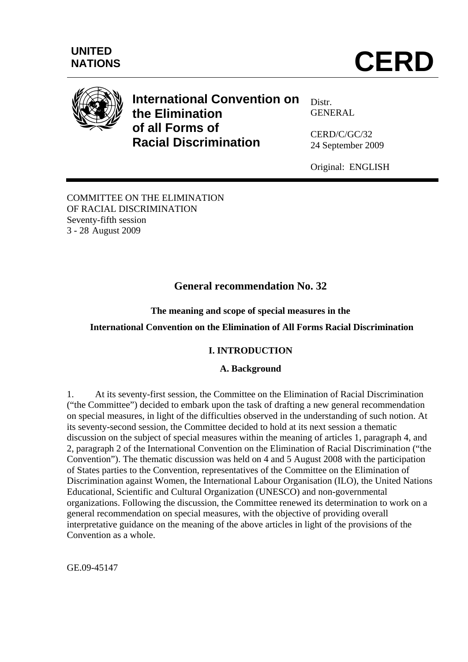

# **International Convention on the Elimination of all Forms of Racial Discrimination**

Distr. GENERAL

CERD/C/GC/32 24 September 2009

Original: ENGLISH

COMMITTEE ON THE ELIMINATION OF RACIAL DISCRIMINATION Seventy-fifth session 3 - 28 August 2009

## **General recommendation No. 32**

**The meaning and scope of special measures in the** 

### **International Convention on the Elimination of All Forms Racial Discrimination**

### **I. INTRODUCTION**

### **A. Background**

1. At its seventy-first session, the Committee on the Elimination of Racial Discrimination ("the Committee") decided to embark upon the task of drafting a new general recommendation on special measures, in light of the difficulties observed in the understanding of such notion. At its seventy-second session, the Committee decided to hold at its next session a thematic discussion on the subject of special measures within the meaning of articles 1, paragraph 4, and 2, paragraph 2 of the International Convention on the Elimination of Racial Discrimination ("the Convention"). The thematic discussion was held on 4 and 5 August 2008 with the participation of States parties to the Convention, representatives of the Committee on the Elimination of Discrimination against Women, the International Labour Organisation (ILO), the United Nations Educational, Scientific and Cultural Organization (UNESCO) and non-governmental organizations. Following the discussion, the Committee renewed its determination to work on a general recommendation on special measures, with the objective of providing overall interpretative guidance on the meaning of the above articles in light of the provisions of the Convention as a whole.

GE.09-45147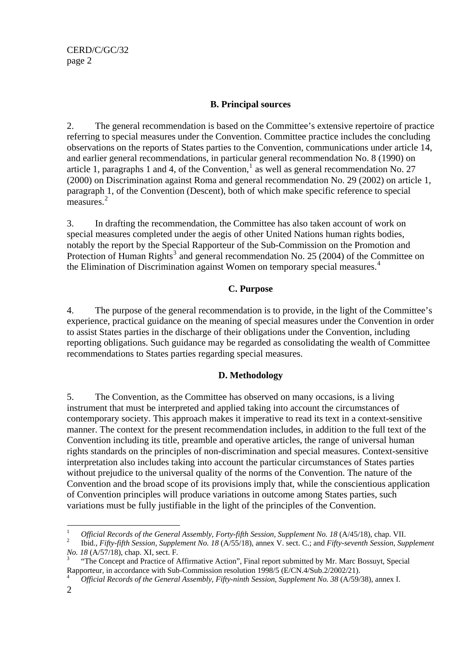### **B. Principal sources**

2. The general recommendation is based on the Committee's extensive repertoire of practice referring to special measures under the Convention. Committee practice includes the concluding observations on the reports of States parties to the Convention, communications under article 14, and earlier general recommendations, in particular general recommendation No. 8 (1990) on article [1](#page-1-0), paragraphs 1 and 4, of the Convention,  $\frac{1}{4}$  as well as general recommendation No. 27 (2000) on Discrimination against Roma and general recommendation No. 29 (2002) on article 1, paragraph 1, of the Convention (Descent), both of which make specific reference to special measures.<sup>[2](#page-1-1)</sup>

3. In drafting the recommendation, the Committee has also taken account of work on special measures completed under the aegis of other United Nations human rights bodies, notably the report by the Special Rapporteur of the Sub-Commission on the Promotion and Protection of Human Rights<sup>[3](#page-1-2)</sup> and general recommendation No. 25 (2004) of the Committee on the Elimination of Discrimination against Women on temporary special measures.<sup>[4](#page-1-3)</sup>

### **C. Purpose**

4. The purpose of the general recommendation is to provide, in the light of the Committee's experience, practical guidance on the meaning of special measures under the Convention in order to assist States parties in the discharge of their obligations under the Convention, including reporting obligations. Such guidance may be regarded as consolidating the wealth of Committee recommendations to States parties regarding special measures.

### **D. Methodology**

5. The Convention, as the Committee has observed on many occasions, is a living instrument that must be interpreted and applied taking into account the circumstances of contemporary society. This approach makes it imperative to read its text in a context-sensitive manner. The context for the present recommendation includes, in addition to the full text of the Convention including its title, preamble and operative articles, the range of universal human rights standards on the principles of non-discrimination and special measures. Context-sensitive interpretation also includes taking into account the particular circumstances of States parties without prejudice to the universal quality of the norms of the Convention. The nature of the Convention and the broad scope of its provisions imply that, while the conscientious application of Convention principles will produce variations in outcome among States parties, such variations must be fully justifiable in the light of the principles of the Convention.

1

<span id="page-1-0"></span><sup>1</sup> <sup>1</sup> Official Records of the General Assembly, Forty-fifth Session, Supplement No. 18 (A/45/18), chap. VII. <sup>2</sup>

<span id="page-1-1"></span>Ibid., *Fifty-fifth Session, Supplement No. 18* (A/55/18), annex V. sect. C.; and *Fifty-seventh Session, Supplement No. 18* (A/57/18), chap. XI, sect. F.

<span id="page-1-2"></span> <sup>&</sup>quot;The Concept and Practice of Affirmative Action", Final report submitted by Mr. Marc Bossuyt, Special Rapporteur, in accordance with Sub-Commission resolution 1998/5 (E/CN.4/Sub.2/2002/21).

<span id="page-1-3"></span>*Official Records of the General Assembly, Fifty-ninth Session, Supplement No. 38* (A/59/38), annex I.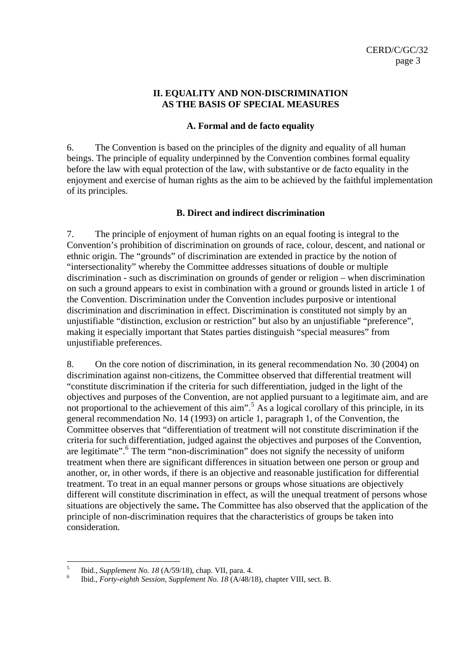#### **II. EQUALITY AND NON-DISCRIMINATION AS THE BASIS OF SPECIAL MEASURES**

#### **A. Formal and de facto equality**

6. The Convention is based on the principles of the dignity and equality of all human beings. The principle of equality underpinned by the Convention combines formal equality before the law with equal protection of the law, with substantive or de facto equality in the enjoyment and exercise of human rights as the aim to be achieved by the faithful implementation of its principles.

#### **B. Direct and indirect discrimination**

7. The principle of enjoyment of human rights on an equal footing is integral to the Convention's prohibition of discrimination on grounds of race, colour, descent, and national or ethnic origin. The "grounds" of discrimination are extended in practice by the notion of "intersectionality" whereby the Committee addresses situations of double or multiple discrimination - such as discrimination on grounds of gender or religion – when discrimination on such a ground appears to exist in combination with a ground or grounds listed in article 1 of the Convention. Discrimination under the Convention includes purposive or intentional discrimination and discrimination in effect. Discrimination is constituted not simply by an unjustifiable "distinction, exclusion or restriction" but also by an unjustifiable "preference", making it especially important that States parties distinguish "special measures" from unjustifiable preferences.

8. On the core notion of discrimination, in its general recommendation No. 30 (2004) on discrimination against non-citizens, the Committee observed that differential treatment will "constitute discrimination if the criteria for such differentiation, judged in the light of the objectives and purposes of the Convention, are not applied pursuant to a legitimate aim, and are not proportional to the achievement of this aim".<sup>[5](#page-2-0)</sup> As a logical corollary of this principle, in its general recommendation No. 14 (1993) on article 1, paragraph 1, of the Convention, the Committee observes that "differentiation of treatment will not constitute discrimination if the criteria for such differentiation, judged against the objectives and purposes of the Convention, are legitimate".<sup>[6](#page-2-1)</sup> The term "non-discrimination" does not signify the necessity of uniform treatment when there are significant differences in situation between one person or group and another, or, in other words, if there is an objective and reasonable justification for differential treatment. To treat in an equal manner persons or groups whose situations are objectively different will constitute discrimination in effect, as will the unequal treatment of persons whose situations are objectively the same**.** The Committee has also observed that the application of the principle of non-discrimination requires that the characteristics of groups be taken into consideration.

 $\frac{1}{5}$ Ibid., *Supplement No. 18* (A/59/18), chap. VII, para. 4. 6

<span id="page-2-1"></span><span id="page-2-0"></span>Ibid., *Forty-eighth Session, Supplement No. 18* (A/48/18), chapter VIII, sect. B.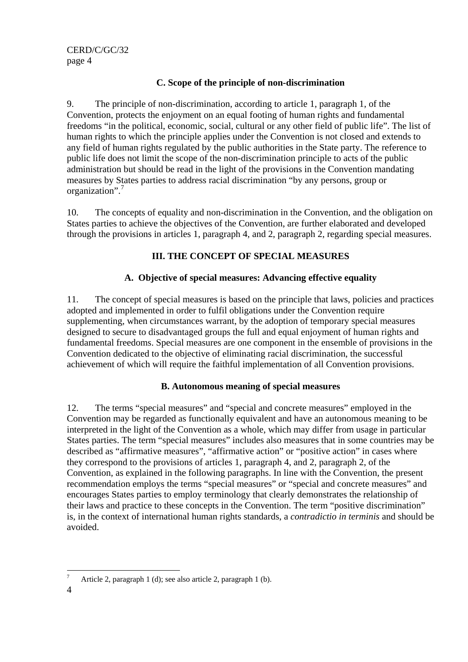### **C. Scope of the principle of non-discrimination**

9. The principle of non-discrimination, according to article 1, paragraph 1, of the Convention, protects the enjoyment on an equal footing of human rights and fundamental freedoms "in the political, economic, social, cultural or any other field of public life". The list of human rights to which the principle applies under the Convention is not closed and extends to any field of human rights regulated by the public authorities in the State party. The reference to public life does not limit the scope of the non-discrimination principle to acts of the public administration but should be read in the light of the provisions in the Convention mandating measures by States parties to address racial discrimination "by any persons, group or organization".<sup>[7](#page-3-0)</sup>

10. The concepts of equality and non-discrimination in the Convention, and the obligation on States parties to achieve the objectives of the Convention, are further elaborated and developed through the provisions in articles 1, paragraph 4, and 2, paragraph 2, regarding special measures.

### **III. THE CONCEPT OF SPECIAL MEASURES**

### **A. Objective of special measures: Advancing effective equality**

11. The concept of special measures is based on the principle that laws, policies and practices adopted and implemented in order to fulfil obligations under the Convention require supplementing, when circumstances warrant, by the adoption of temporary special measures designed to secure to disadvantaged groups the full and equal enjoyment of human rights and fundamental freedoms. Special measures are one component in the ensemble of provisions in the Convention dedicated to the objective of eliminating racial discrimination, the successful achievement of which will require the faithful implementation of all Convention provisions.

### **B. Autonomous meaning of special measures**

12. The terms "special measures" and "special and concrete measures" employed in the Convention may be regarded as functionally equivalent and have an autonomous meaning to be interpreted in the light of the Convention as a whole, which may differ from usage in particular States parties. The term "special measures" includes also measures that in some countries may be described as "affirmative measures", "affirmative action" or "positive action" in cases where they correspond to the provisions of articles 1, paragraph 4, and 2, paragraph 2, of the Convention, as explained in the following paragraphs. In line with the Convention, the present recommendation employs the terms "special measures" or "special and concrete measures" and encourages States parties to employ terminology that clearly demonstrates the relationship of their laws and practice to these concepts in the Convention. The term "positive discrimination" is, in the context of international human rights standards, a *contradictio in terminis* and should be avoided.

<span id="page-3-0"></span><sup>—&</sup>lt;br>7 Article 2, paragraph 1 (d); see also article 2, paragraph 1 (b).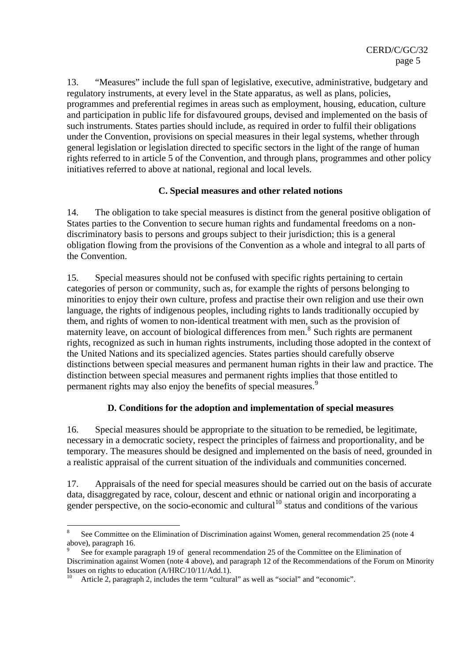13. "Measures" include the full span of legislative, executive, administrative, budgetary and regulatory instruments, at every level in the State apparatus, as well as plans, policies, programmes and preferential regimes in areas such as employment, housing, education, culture and participation in public life for disfavoured groups, devised and implemented on the basis of such instruments. States parties should include, as required in order to fulfil their obligations under the Convention, provisions on special measures in their legal systems, whether through general legislation or legislation directed to specific sectors in the light of the range of human rights referred to in article 5 of the Convention, and through plans, programmes and other policy initiatives referred to above at national, regional and local levels.

### **C. Special measures and other related notions**

14. The obligation to take special measures is distinct from the general positive obligation of States parties to the Convention to secure human rights and fundamental freedoms on a nondiscriminatory basis to persons and groups subject to their jurisdiction; this is a general obligation flowing from the provisions of the Convention as a whole and integral to all parts of the Convention.

15. Special measures should not be confused with specific rights pertaining to certain categories of person or community, such as, for example the rights of persons belonging to minorities to enjoy their own culture, profess and practise their own religion and use their own language, the rights of indigenous peoples, including rights to lands traditionally occupied by them, and rights of women to non-identical treatment with men, such as the provision of maternity leave, on account of biological differences from men.<sup>[8](#page-4-0)</sup> Such rights are permanent rights, recognized as such in human rights instruments, including those adopted in the context of the United Nations and its specialized agencies. States parties should carefully observe distinctions between special measures and permanent human rights in their law and practice. The distinction between special measures and permanent rights implies that those entitled to permanent rights may also enjoy the benefits of special measures.<sup>[9](#page-4-1)</sup>

### **D. Conditions for the adoption and implementation of special measures**

16. Special measures should be appropriate to the situation to be remedied, be legitimate, necessary in a democratic society, respect the principles of fairness and proportionality, and be temporary. The measures should be designed and implemented on the basis of need, grounded in a realistic appraisal of the current situation of the individuals and communities concerned.

17. Appraisals of the need for special measures should be carried out on the basis of accurate data, disaggregated by race, colour, descent and ethnic or national origin and incorporating a gender perspective, on the socio-economic and cultural<sup>10</sup> status and conditions of the various

1

<span id="page-4-0"></span><sup>8</sup> See Committee on the Elimination of Discrimination against Women, general recommendation 25 (note 4 above), paragraph 16.

<span id="page-4-1"></span><sup>9</sup> See for example paragraph 19 of general recommendation 25 of the Committee on the Elimination of Discrimination against Women (note 4 above), and paragraph 12 of the Recommendations of the Forum on Minority Issues on rights to education (A/HRC/10/11/Add.1).

<span id="page-4-2"></span>Article 2, paragraph 2, includes the term "cultural" as well as "social" and "economic".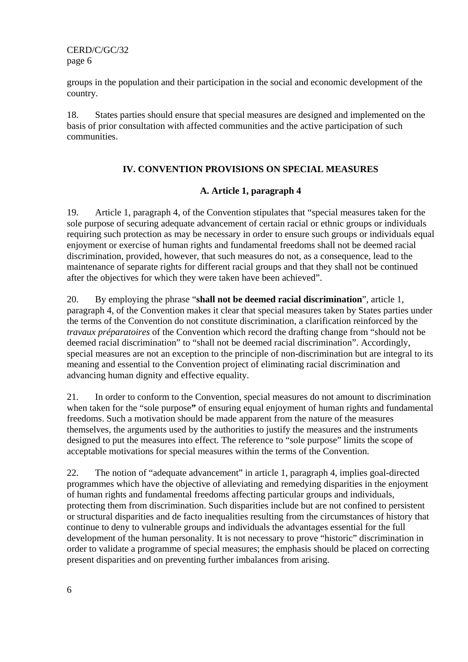CERD/C/GC/32 page 6

groups in the population and their participation in the social and economic development of the country.

18. States parties should ensure that special measures are designed and implemented on the basis of prior consultation with affected communities and the active participation of such communities.

### **IV. CONVENTION PROVISIONS ON SPECIAL MEASURES**

#### **A. Article 1, paragraph 4**

19. Article 1, paragraph 4, of the Convention stipulates that "special measures taken for the sole purpose of securing adequate advancement of certain racial or ethnic groups or individuals requiring such protection as may be necessary in order to ensure such groups or individuals equal enjoyment or exercise of human rights and fundamental freedoms shall not be deemed racial discrimination, provided, however, that such measures do not, as a consequence, lead to the maintenance of separate rights for different racial groups and that they shall not be continued after the objectives for which they were taken have been achieved".

20. By employing the phrase "**shall not be deemed racial discrimination**", article 1, paragraph 4, of the Convention makes it clear that special measures taken by States parties under the terms of the Convention do not constitute discrimination, a clarification reinforced by the *travaux préparatoires* of the Convention which record the drafting change from "should not be deemed racial discrimination" to "shall not be deemed racial discrimination". Accordingly, special measures are not an exception to the principle of non-discrimination but are integral to its meaning and essential to the Convention project of eliminating racial discrimination and advancing human dignity and effective equality.

21. In order to conform to the Convention, special measures do not amount to discrimination when taken for the "sole purpose**"** of ensuring equal enjoyment of human rights and fundamental freedoms. Such a motivation should be made apparent from the nature of the measures themselves, the arguments used by the authorities to justify the measures and the instruments designed to put the measures into effect. The reference to "sole purpose" limits the scope of acceptable motivations for special measures within the terms of the Convention.

22. The notion of "adequate advancement" in article 1, paragraph 4, implies goal-directed programmes which have the objective of alleviating and remedying disparities in the enjoyment of human rights and fundamental freedoms affecting particular groups and individuals, protecting them from discrimination. Such disparities include but are not confined to persistent or structural disparities and de facto inequalities resulting from the circumstances of history that continue to deny to vulnerable groups and individuals the advantages essential for the full development of the human personality. It is not necessary to prove "historic" discrimination in order to validate a programme of special measures; the emphasis should be placed on correcting present disparities and on preventing further imbalances from arising.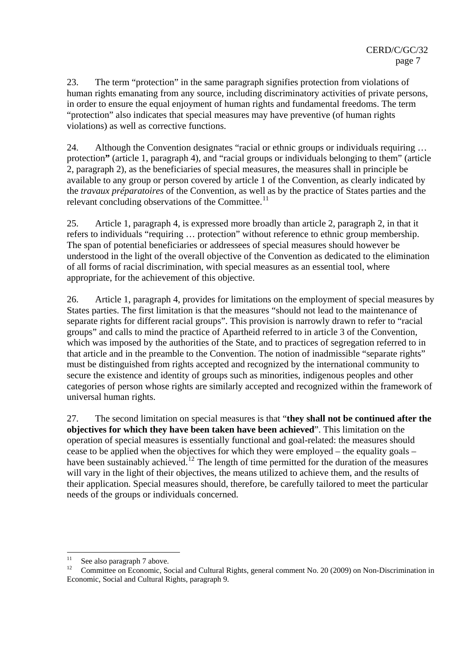23. The term "protection" in the same paragraph signifies protection from violations of human rights emanating from any source, including discriminatory activities of private persons, in order to ensure the equal enjoyment of human rights and fundamental freedoms. The term "protection" also indicates that special measures may have preventive (of human rights violations) as well as corrective functions.

24. Although the Convention designates "racial or ethnic groups or individuals requiring … protection**"** (article 1, paragraph 4), and "racial groups or individuals belonging to them" (article 2, paragraph 2), as the beneficiaries of special measures, the measures shall in principle be available to any group or person covered by article 1 of the Convention, as clearly indicated by the *travaux préparatoires* of the Convention, as well as by the practice of States parties and the relevant concluding observations of the Committee. $^{11}$  $^{11}$  $^{11}$ 

25. Article 1, paragraph 4, is expressed more broadly than article 2, paragraph 2, in that it refers to individuals "requiring … protection" without reference to ethnic group membership. The span of potential beneficiaries or addressees of special measures should however be understood in the light of the overall objective of the Convention as dedicated to the elimination of all forms of racial discrimination, with special measures as an essential tool, where appropriate, for the achievement of this objective.

26. Article 1, paragraph 4, provides for limitations on the employment of special measures by States parties. The first limitation is that the measures "should not lead to the maintenance of separate rights for different racial groups". This provision is narrowly drawn to refer to "racial groups" and calls to mind the practice of Apartheid referred to in article 3 of the Convention, which was imposed by the authorities of the State, and to practices of segregation referred to in that article and in the preamble to the Convention. The notion of inadmissible "separate rights" must be distinguished from rights accepted and recognized by the international community to secure the existence and identity of groups such as minorities, indigenous peoples and other categories of person whose rights are similarly accepted and recognized within the framework of universal human rights.

27. The second limitation on special measures is that "**they shall not be continued after the objectives for which they have been taken have been achieved**". This limitation on the operation of special measures is essentially functional and goal-related: the measures should cease to be applied when the objectives for which they were employed – the equality goals – have been sustainably achieved.<sup>[12](#page-6-1)</sup> The length of time permitted for the duration of the measures will vary in the light of their objectives, the means utilized to achieve them, and the results of their application. Special measures should, therefore, be carefully tailored to meet the particular needs of the groups or individuals concerned.

<span id="page-6-0"></span> $11$  $\frac{11}{12}$  See also paragraph 7 above.

<span id="page-6-1"></span><sup>12</sup> Committee on Economic, Social and Cultural Rights, general comment No. 20 (2009) on Non-Discrimination in Economic, Social and Cultural Rights, paragraph 9.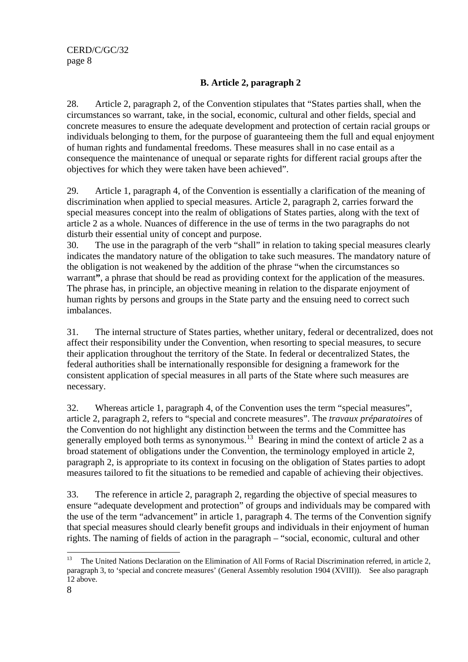### **B. Article 2, paragraph 2**

28. Article 2, paragraph 2, of the Convention stipulates that "States parties shall, when the circumstances so warrant, take, in the social, economic, cultural and other fields, special and concrete measures to ensure the adequate development and protection of certain racial groups or individuals belonging to them, for the purpose of guaranteeing them the full and equal enjoyment of human rights and fundamental freedoms. These measures shall in no case entail as a consequence the maintenance of unequal or separate rights for different racial groups after the objectives for which they were taken have been achieved".

29. Article 1, paragraph 4, of the Convention is essentially a clarification of the meaning of discrimination when applied to special measures. Article 2, paragraph 2, carries forward the special measures concept into the realm of obligations of States parties, along with the text of article 2 as a whole. Nuances of difference in the use of terms in the two paragraphs do not disturb their essential unity of concept and purpose.

30. The use in the paragraph of the verb "shall" in relation to taking special measures clearly indicates the mandatory nature of the obligation to take such measures. The mandatory nature of the obligation is not weakened by the addition of the phrase "when the circumstances so warrant**"**, a phrase that should be read as providing context for the application of the measures. The phrase has, in principle, an objective meaning in relation to the disparate enjoyment of human rights by persons and groups in the State party and the ensuing need to correct such imbalances.

31. The internal structure of States parties, whether unitary, federal or decentralized, does not affect their responsibility under the Convention, when resorting to special measures, to secure their application throughout the territory of the State. In federal or decentralized States, the federal authorities shall be internationally responsible for designing a framework for the consistent application of special measures in all parts of the State where such measures are necessary.

32. Whereas article 1, paragraph 4, of the Convention uses the term "special measures", article 2, paragraph 2, refers to "special and concrete measures". The *travaux préparatoires* of the Convention do not highlight any distinction between the terms and the Committee has generally employed both terms as synonymous.<sup>[13](#page-7-0)</sup> Bearing in mind the context of article 2 as a broad statement of obligations under the Convention, the terminology employed in article 2, paragraph 2, is appropriate to its context in focusing on the obligation of States parties to adopt measures tailored to fit the situations to be remedied and capable of achieving their objectives.

33. The reference in article 2, paragraph 2, regarding the objective of special measures to ensure "adequate development and protection" of groups and individuals may be compared with the use of the term "advancement" in article 1, paragraph 4. The terms of the Convention signify that special measures should clearly benefit groups and individuals in their enjoyment of human rights. The naming of fields of action in the paragraph – "social, economic, cultural and other

<span id="page-7-0"></span> $13\,$ 13 The United Nations Declaration on the Elimination of All Forms of Racial Discrimination referred, in article 2, paragraph 3, to 'special and concrete measures' (General Assembly resolution 1904 (XVIII)). See also paragraph 12 above.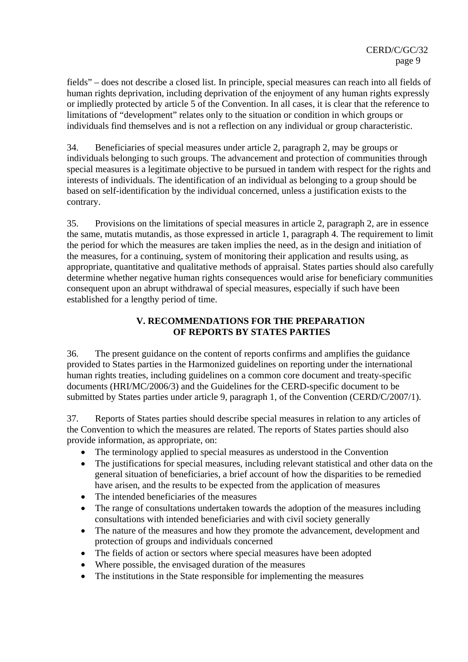fields" – does not describe a closed list. In principle, special measures can reach into all fields of human rights deprivation, including deprivation of the enjoyment of any human rights expressly or impliedly protected by article 5 of the Convention. In all cases, it is clear that the reference to limitations of "development" relates only to the situation or condition in which groups or individuals find themselves and is not a reflection on any individual or group characteristic.

34. Beneficiaries of special measures under article 2, paragraph 2, may be groups or individuals belonging to such groups. The advancement and protection of communities through special measures is a legitimate objective to be pursued in tandem with respect for the rights and interests of individuals. The identification of an individual as belonging to a group should be based on self-identification by the individual concerned, unless a justification exists to the contrary.

35. Provisions on the limitations of special measures in article 2, paragraph 2, are in essence the same, mutatis mutandis, as those expressed in article 1, paragraph 4. The requirement to limit the period for which the measures are taken implies the need, as in the design and initiation of the measures, for a continuing, system of monitoring their application and results using, as appropriate, quantitative and qualitative methods of appraisal. States parties should also carefully determine whether negative human rights consequences would arise for beneficiary communities consequent upon an abrupt withdrawal of special measures, especially if such have been established for a lengthy period of time.

### **V. RECOMMENDATIONS FOR THE PREPARATION OF REPORTS BY STATES PARTIES**

36. The present guidance on the content of reports confirms and amplifies the guidance provided to States parties in the Harmonized guidelines on reporting under the international human rights treaties, including guidelines on a common core document and treaty-specific documents (HRI/MC/2006/3) and the Guidelines for the CERD-specific document to be submitted by States parties under article 9, paragraph 1, of the Convention (CERD/C/2007/1).

37. Reports of States parties should describe special measures in relation to any articles of the Convention to which the measures are related. The reports of States parties should also provide information, as appropriate, on:

- The terminology applied to special measures as understood in the Convention
- The justifications for special measures, including relevant statistical and other data on the general situation of beneficiaries, a brief account of how the disparities to be remedied have arisen, and the results to be expected from the application of measures
- The intended beneficiaries of the measures
- The range of consultations undertaken towards the adoption of the measures including consultations with intended beneficiaries and with civil society generally
- The nature of the measures and how they promote the advancement, development and protection of groups and individuals concerned
- The fields of action or sectors where special measures have been adopted
- Where possible, the envisaged duration of the measures
- The institutions in the State responsible for implementing the measures